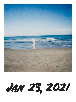

**Jan 23, 2021**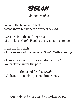**Selah**

## *Olaitan Humble*

What if the heaven we seek is not above but beneath our feet? *Selah*.

We stare into the nothingness of the skies. *Selah*. Hoping to see a hand extended

from the far reach of the kernels of the heavens. *Selah*. With a feeling

of emptiness in the pit of our stomach. *Selah*. We prefer to suffer the pain

 of a thousand deaths. *Selah*. While our inner sins portend innocence.

*Art: "Winter by the Sea" by Gabriela De Paz*